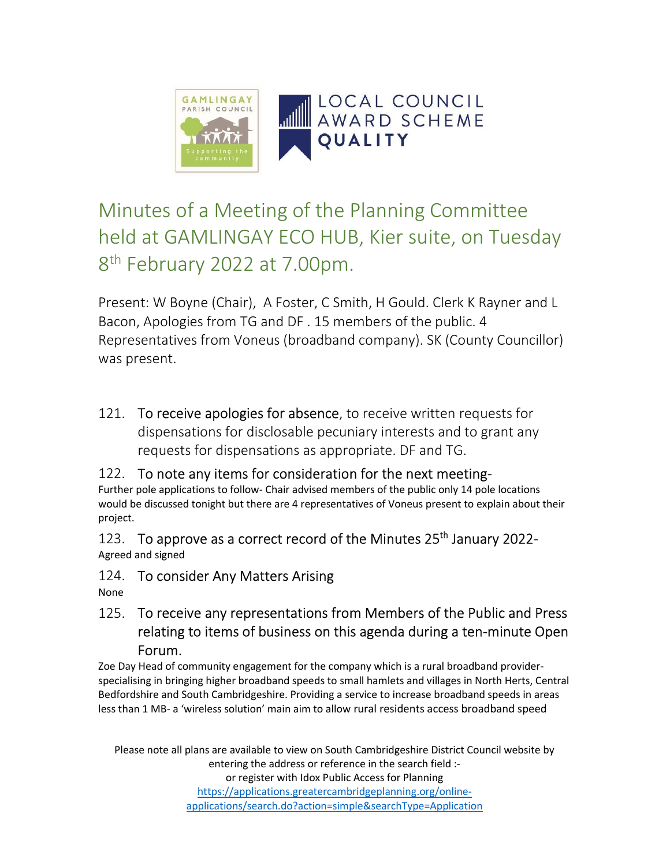

# Minutes of a Meeting of the Planning Committee held at GAMLINGAY ECO HUB, Kier suite, on Tuesday 8<sup>th</sup> February 2022 at 7.00pm.

Present: W Boyne (Chair), A Foster, C Smith, H Gould. Clerk K Rayner and L Bacon, Apologies from TG and DF . 15 members of the public. 4 Representatives from Voneus (broadband company). SK (County Councillor) was present.

121. To receive apologies for absence, to receive written requests for dispensations for disclosable pecuniary interests and to grant any requests for dispensations as appropriate. DF and TG.

## 122. To note any items for consideration for the next meeting-

Further pole applications to follow- Chair advised members of the public only 14 pole locations would be discussed tonight but there are 4 representatives of Voneus present to explain about their project.

123. To approve as a correct record of the Minutes  $25<sup>th</sup>$  January 2022-Agreed and signed

124. To consider Any Matters Arising

None

125. To receive any representations from Members of the Public and Press relating to items of business on this agenda during a ten-minute Open Forum.

Zoe Day Head of community engagement for the company which is a rural broadband providerspecialising in bringing higher broadband speeds to small hamlets and villages in North Herts, Central Bedfordshire and South Cambridgeshire. Providing a service to increase broadband speeds in areas less than 1 MB- a 'wireless solution' main aim to allow rural residents access broadband speed

Please note all plans are available to view on South Cambridgeshire District Council website by entering the address or reference in the search field :or register with Idox Public Access for Planning

https://applications.greatercambridgeplanning.org/onlineapplications/search.do?action=simple&searchType=Application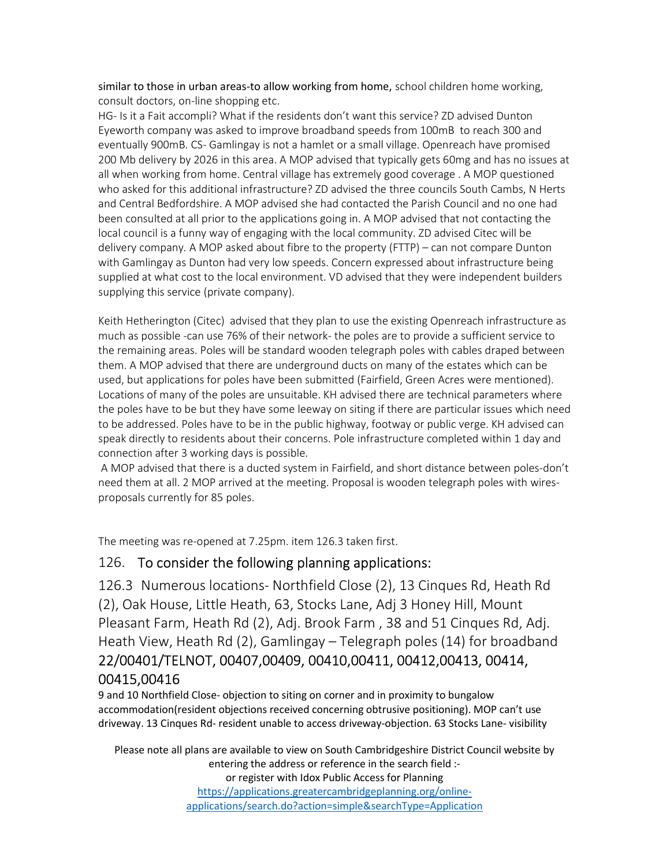similar to those in urban areas-to allow working from home, school children home working, consult doctors, on-line shopping etc.

HG- Is it a Fait accompli? What if the residents don't want this service? ZD advised Dunton Eyeworth company was asked to improve broadband speeds from 100mB to reach 300 and eventually 900mB. CS- Gamlingay is not a hamlet or a small village. Openreach have promised 200 Mb delivery by 2026 in this area. A MOP advised that typically gets 60mg and has no issues at all when working from home. Central village has extremely good coverage . A MOP questioned who asked for this additional infrastructure? ZD advised the three councils South Cambs, N Herts and Central Bedfordshire. A MOP advised she had contacted the Parish Council and no one had been consulted at all prior to the applications going in. A MOP advised that not contacting the local council is a funny way of engaging with the local community. ZD advised Citec will be delivery company. A MOP asked about fibre to the property (FTTP) – can not compare Dunton with Gamlingay as Dunton had very low speeds. Concern expressed about infrastructure being supplied at what cost to the local environment. VD advised that they were independent builders supplying this service (private company).

Keith Hetherington (Citec) advised that they plan to use the existing Openreach infrastructure as much as possible -can use 76% of their network- the poles are to provide a sufficient service to the remaining areas. Poles will be standard wooden telegraph poles with cables draped between them. A MOP advised that there are underground ducts on many of the estates which can be used, but applications for poles have been submitted (Fairfield, Green Acres were mentioned). Locations of many of the poles are unsuitable. KH advised there are technical parameters where the poles have to be but they have some leeway on siting if there are particular issues which need to be addressed. Poles have to be in the public highway, footway or public verge. KH advised can speak directly to residents about their concerns. Pole infrastructure completed within 1 day and connection after 3 working days is possible.

 A MOP advised that there is a ducted system in Fairfield, and short distance between poles-don't need them at all. 2 MOP arrived at the meeting. Proposal is wooden telegraph poles with wiresproposals currently for 85 poles.

The meeting was re-opened at 7.25pm. item 126.3 taken first.

#### 126. To consider the following planning applications:

126.3 Numerous locations- Northfield Close (2), 13 Cinques Rd, Heath Rd (2), Oak House, Little Heath, 63, Stocks Lane, Adj 3 Honey Hill, Mount Pleasant Farm, Heath Rd (2), Adj. Brook Farm , 38 and 51 Cinques Rd, Adj. Heath View, Heath Rd (2), Gamlingay – Telegraph poles (14) for broadband 22/00401/TELNOT, 00407,00409, 00410,00411, 00412,00413, 00414, 00415,00416

9 and 10 Northfield Close- objection to siting on corner and in proximity to bungalow accommodation(resident objections received concerning obtrusive positioning). MOP can't use driveway. 13 Cinques Rd- resident unable to access driveway-objection. 63 Stocks Lane- visibility

Please note all plans are available to view on South Cambridgeshire District Council website by entering the address or reference in the search field :or register with Idox Public Access for Planning https://applications.greatercambridgeplanning.org/onlineapplications/search.do?action=simple&searchType=Application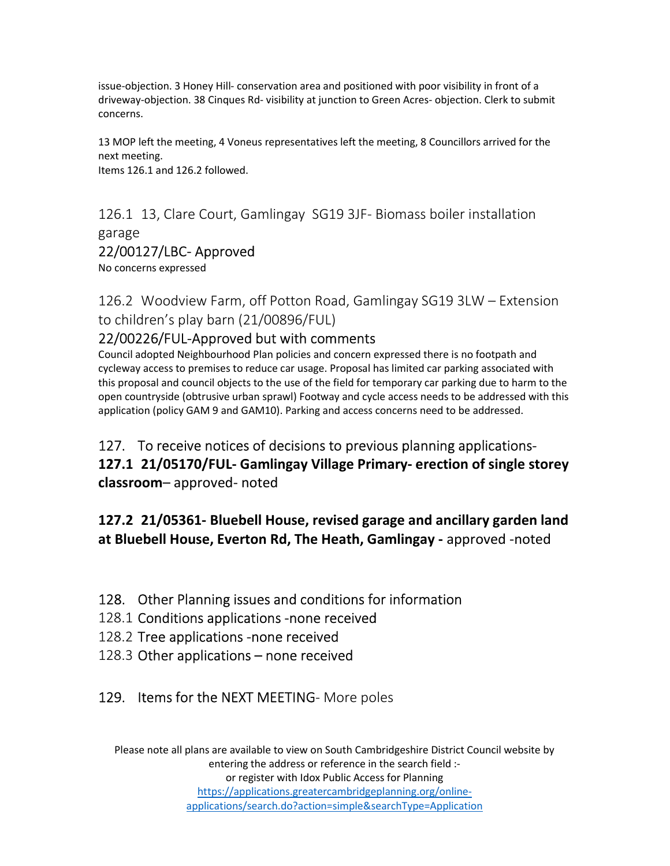issue-objection. 3 Honey Hill- conservation area and positioned with poor visibility in front of a driveway-objection. 38 Cinques Rd- visibility at junction to Green Acres- objection. Clerk to submit concerns.

13 MOP left the meeting, 4 Voneus representatives left the meeting, 8 Councillors arrived for the next meeting. Items 126.1 and 126.2 followed.

126.1 13, Clare Court, Gamlingay SG19 3JF- Biomass boiler installation garage

#### 22/00127/LBC- Approved

No concerns expressed

126.2 Woodview Farm, off Potton Road, Gamlingay SG19 3LW – Extension to children's play barn (21/00896/FUL)

#### 22/00226/FUL-Approved but with comments

Council adopted Neighbourhood Plan policies and concern expressed there is no footpath and cycleway access to premises to reduce car usage. Proposal has limited car parking associated with this proposal and council objects to the use of the field for temporary car parking due to harm to the open countryside (obtrusive urban sprawl) Footway and cycle access needs to be addressed with this application (policy GAM 9 and GAM10). Parking and access concerns need to be addressed.

127. To receive notices of decisions to previous planning applications-127.1 21/05170/FUL- Gamlingay Village Primary- erection of single storey classroom– approved- noted

## 127.2 21/05361- Bluebell House, revised garage and ancillary garden land at Bluebell House, Everton Rd, The Heath, Gamlingay - approved -noted

## 128. Other Planning issues and conditions for information

- 128.1 Conditions applications -none received
- 128.2 Tree applications -none received
- 128.3 Other applications none received

## 129. Items for the NEXT MEETING-More poles

Please note all plans are available to view on South Cambridgeshire District Council website by entering the address or reference in the search field :or register with Idox Public Access for Planning https://applications.greatercambridgeplanning.org/onlineapplications/search.do?action=simple&searchType=Application